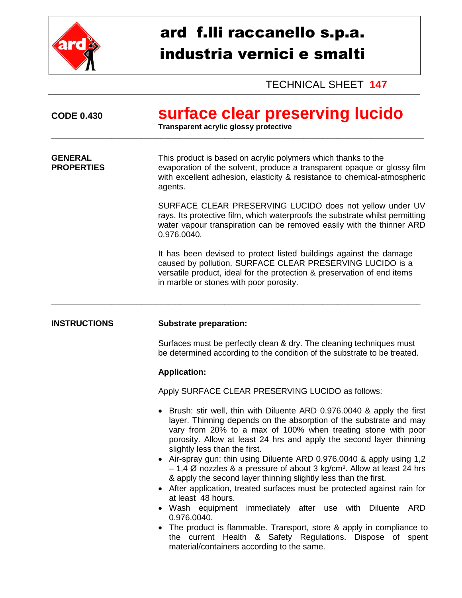

## ard f.lli raccanello s.p.a. industria vernici e smalti

TECHNICAL SHEET **147**

| <b>CODE 0.430</b>                   | surface clear preserving lucido<br>Transparent acrylic glossy protective                                                                                                                                                                                                                                                                                                                                                                                                                                                                                                                                                                                                                                                                                                                                                                                                                                                    |
|-------------------------------------|-----------------------------------------------------------------------------------------------------------------------------------------------------------------------------------------------------------------------------------------------------------------------------------------------------------------------------------------------------------------------------------------------------------------------------------------------------------------------------------------------------------------------------------------------------------------------------------------------------------------------------------------------------------------------------------------------------------------------------------------------------------------------------------------------------------------------------------------------------------------------------------------------------------------------------|
| <b>GENERAL</b><br><b>PROPERTIES</b> | This product is based on acrylic polymers which thanks to the<br>evaporation of the solvent, produce a transparent opaque or glossy film<br>with excellent adhesion, elasticity & resistance to chemical-atmospheric<br>agents.                                                                                                                                                                                                                                                                                                                                                                                                                                                                                                                                                                                                                                                                                             |
|                                     | SURFACE CLEAR PRESERVING LUCIDO does not yellow under UV<br>rays. Its protective film, which waterproofs the substrate whilst permitting<br>water vapour transpiration can be removed easily with the thinner ARD<br>0.976.0040.                                                                                                                                                                                                                                                                                                                                                                                                                                                                                                                                                                                                                                                                                            |
|                                     | It has been devised to protect listed buildings against the damage<br>caused by pollution. SURFACE CLEAR PRESERVING LUCIDO is a<br>versatile product, ideal for the protection & preservation of end items<br>in marble or stones with poor porosity.                                                                                                                                                                                                                                                                                                                                                                                                                                                                                                                                                                                                                                                                       |
| <b>INSTRUCTIONS</b>                 | <b>Substrate preparation:</b>                                                                                                                                                                                                                                                                                                                                                                                                                                                                                                                                                                                                                                                                                                                                                                                                                                                                                               |
|                                     | Surfaces must be perfectly clean & dry. The cleaning techniques must<br>be determined according to the condition of the substrate to be treated.                                                                                                                                                                                                                                                                                                                                                                                                                                                                                                                                                                                                                                                                                                                                                                            |
|                                     | <b>Application:</b>                                                                                                                                                                                                                                                                                                                                                                                                                                                                                                                                                                                                                                                                                                                                                                                                                                                                                                         |
|                                     | Apply SURFACE CLEAR PRESERVING LUCIDO as follows:                                                                                                                                                                                                                                                                                                                                                                                                                                                                                                                                                                                                                                                                                                                                                                                                                                                                           |
|                                     | • Brush: stir well, thin with Diluente ARD 0.976.0040 & apply the first<br>layer. Thinning depends on the absorption of the substrate and may<br>vary from 20% to a max of 100% when treating stone with poor<br>porosity. Allow at least 24 hrs and apply the second layer thinning<br>slightly less than the first.<br>• Air-spray gun: thin using Diluente ARD 0.976.0040 & apply using 1,2<br>$-1,4$ Ø nozzles & a pressure of about 3 kg/cm <sup>2</sup> . Allow at least 24 hrs<br>& apply the second layer thinning slightly less than the first.<br>• After application, treated surfaces must be protected against rain for<br>at least 48 hours.<br>Wash equipment<br>immediately after use with Diluente<br>ARD<br>0.976.0040.<br>The product is flammable. Transport, store & apply in compliance to<br>the current Health & Safety Regulations. Dispose of spent<br>material/containers according to the same. |